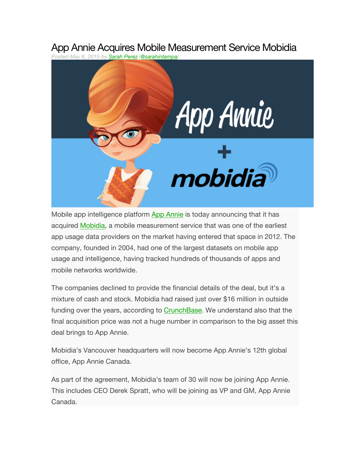## App Annie Acquires Mobile Measurement Service Mobidia

*Posted May 6, 2015 by Sarah Perez (@sarahintampa)*



Mobile app intelligence platform App Annie is today announcing that it has acquired Mobidia, a mobile measurement service that was one of the earliest app usage data providers on the market having entered that space in 2012. The company, founded in 2004, had one of the largest datasets on mobile app usage and intelligence, having tracked hundreds of thousands of apps and mobile networks worldwide.

The companies declined to provide the financial details of the deal, but it's a mixture of cash and stock. Mobidia had raised just over \$16 million in outside funding over the years, according to CrunchBase. We understand also that the final acquisition price was not a huge number in comparison to the big asset this deal brings to App Annie.

Mobidia's Vancouver headquarters will now become App Annie's 12th global office, App Annie Canada.

As part of the agreement, Mobidia's team of 30 will now be joining App Annie. This includes CEO Derek Spratt, who will be joining as VP and GM, App Annie Canada.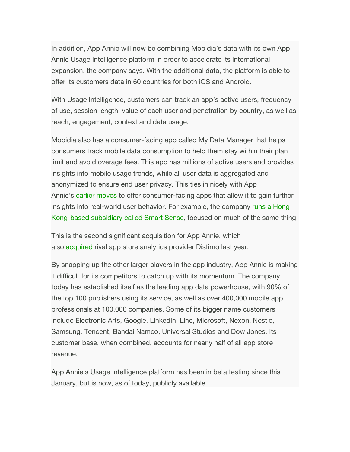In addition, App Annie will now be combining Mobidia's data with its own App Annie Usage Intelligence platform in order to accelerate its international expansion, the company says. With the additional data, the platform is able to offer its customers data in 60 countries for both iOS and Android.

With Usage Intelligence, customers can track an app's active users, frequency of use, session length, value of each user and penetration by country, as well as reach, engagement, context and data usage.

Mobidia also has a consumer-facing app called My Data Manager that helps consumers track mobile data consumption to help them stay within their plan limit and avoid overage fees. This app has millions of active users and provides insights into mobile usage trends, while all user data is aggregated and anonymized to ensure end user privacy. This ties in nicely with App Annie's earlier moves to offer consumer-facing apps that allow it to gain further insights into real-world user behavior. For example, the company runs a Hong Kong-based subsidiary called Smart Sense, focused on much of the same thing.

This is the second significant acquisition for App Annie, which also acquired rival app store analytics provider Distimo last year.

By snapping up the other larger players in the app industry, App Annie is making it difficult for its competitors to catch up with its momentum. The company today has established itself as the leading app data powerhouse, with 90% of the top 100 publishers using its service, as well as over 400,000 mobile app professionals at 100,000 companies. Some of its bigger name customers include Electronic Arts, Google, LinkedIn, Line, Microsoft, Nexon, Nestle, Samsung, Tencent, Bandai Namco, Universal Studios and Dow Jones. Its customer base, when combined, accounts for nearly half of all app store revenue.

App Annie's Usage Intelligence platform has been in beta testing since this January, but is now, as of today, publicly available.